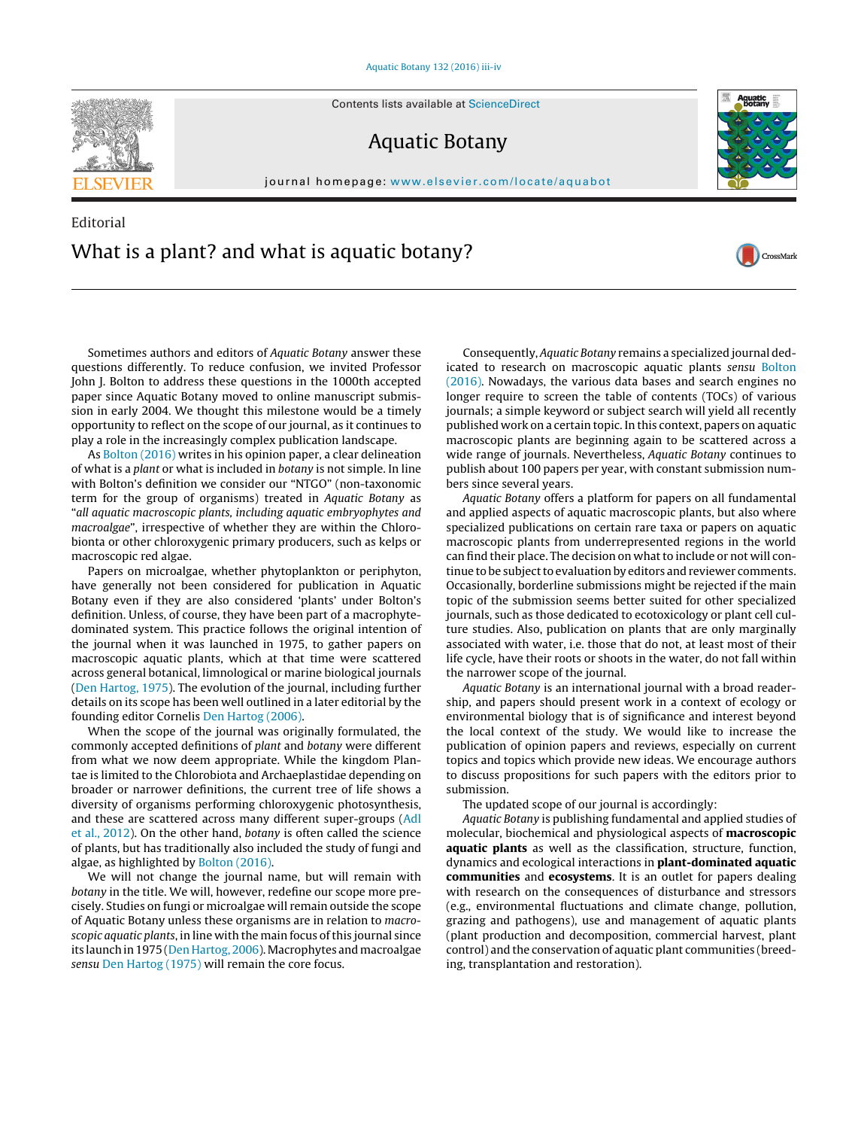Contents lists available at [ScienceDirect](http://www.sciencedirect.com/science/journal/03043770)

## Aquatic Botany

journal homepage: [www.elsevier.com/locate/aquabot](http://www.elsevier.com/locate/aquabot)

## Editorial What is a plant? and what is aquatic botany?

Sometimes authors and editors of Aquatic Botany answer these questions differently. To reduce confusion, we invited Professor John J. Bolton to address these questions in the 1000th accepted paper since Aquatic Botany moved to online manuscript submission in early 2004. We thought this milestone would be a timely opportunity to reflect on the scope of our journal, as it continues to play a role in the increasingly complex publication landscape.

As [Bolton \(2016\)](#page-1-0) writes in his opinion paper, a clear delineation of what is a plant or what is included in botany is not simple. In line with Bolton's definition we consider our "NTGO" (non-taxonomic term for the group of organisms) treated in Aquatic Botany as "all aquatic macroscopic plants, including aquatic embryophytes and macroalgae", irrespective of whether they are within the Chlorobionta or other chloroxygenic primary producers, such as kelps or macroscopic red algae.

Papers on microalgae, whether phytoplankton or periphyton, have generally not been considered for publication in Aquatic Botany even if they are also considered 'plants' under Bolton's definition. Unless, of course, they have been part of a macrophytedominated system. This practice follows the original intention of the journal when it was launched in 1975, to gather papers on macroscopic aquatic plants, which at that time were scattered across general botanical, limnological or marine biological journals ([Den Hartog, 1975\).](#page-1-0) The evolution of the journal, including further details on its scope has been well outlined in a later editorial by the founding editor Cornelis [Den Hartog \(2006\).](#page-1-0)

When the scope of the journal was originally formulated, the commonly accepted definitions of plant and botany were different from what we now deem appropriate. While the kingdom Plantae is limited to the Chlorobiota and Archaeplastidae depending on broader or narrower definitions, the current tree of life shows a diversity of organisms performing chloroxygenic photosynthesis, and these are scattered across many different super-groups [\(Adl](#page-1-0) [et al., 2012\).](#page-1-0) On the other hand, botany is often called the science of plants, but has traditionally also included the study of fungi and algae, as highlighted by [Bolton \(2016\).](#page-1-0)

We will not change the journal name, but will remain with botany in the title. We will, however, redefine our scope more precisely. Studies on fungi or microalgae will remain outside the scope of Aquatic Botany unless these organisms are in relation to macroscopic aquatic plants, in line with the main focus of this journal since its launch in 1975 [\(Den Hartog, 2006\).](#page-1-0) Macrophytes and macroalgae sensu [Den Hartog \(1975\)](#page-1-0) will remain the core focus.

Consequently, Aquatic Botany remains a specialized journal dedicated to research on macroscopic aquatic plants sensu [Bolton](#page-1-0) [\(2016\). N](#page-1-0)owadays, the various data bases and search engines no longer require to screen the table of contents (TOCs) of various journals; a simple keyword or subject search will yield all recently published work on a certain topic. In this context, papers on aquatic macroscopic plants are beginning again to be scattered across a wide range of journals. Nevertheless, Aquatic Botany continues to publish about 100 papers per year, with constant submission numbers since several years.

Aquatic Botany offers a platform for papers on all fundamental and applied aspects of aquatic macroscopic plants, but also where specialized publications on certain rare taxa or papers on aquatic macroscopic plants from underrepresented regions in the world can find their place. The decision on what to include or not will continue to be subject to evaluation by editors and reviewer comments. Occasionally, borderline submissions might be rejected if the main topic of the submission seems better suited for other specialized journals, such as those dedicated to ecotoxicology or plant cell culture studies. Also, publication on plants that are only marginally associated with water, i.e. those that do not, at least most of their life cycle, have their roots or shoots in the water, do not fall within the narrower scope of the journal.

Aquatic Botany is an international journal with a broad readership, and papers should present work in a context of ecology or environmental biology that is of significance and interest beyond the local context of the study. We would like to increase the publication of opinion papers and reviews, especially on current topics and topics which provide new ideas. We encourage authors to discuss propositions for such papers with the editors prior to submission.

The updated scope of our journal is accordingly:

Aquatic Botany is publishing fundamental and applied studies of molecular, biochemical and physiological aspects of **macroscopic aquatic plants** as well as the classification, structure, function, dynamics and ecological interactions in **plant-dominated aquatic communities** and **ecosystems**. It is an outlet for papers dealing with research on the consequences of disturbance and stressors (e.g., environmental fluctuations and climate change, pollution, grazing and pathogens), use and management of aquatic plants (plant production and decomposition, commercial harvest, plant control) and the conservation of aquatic plant communities (breeding, transplantation and restoration).